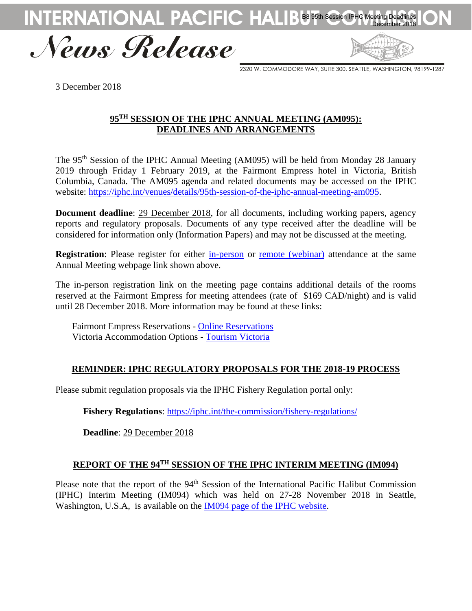

News Release

2320 W. COMMODORE WAY, SUITE 300, SEATTLE, WASHINGTON, 98199-1287

3 December 2018

## **95 TH SESSION OF THE IPHC ANNUAL MEETING (AM095): DEADLINES AND ARRANGEMENTS**

The 95<sup>th</sup> Session of the IPHC Annual Meeting (AM095) will be held from Monday 28 January 2019 through Friday 1 February 2019, at the Fairmont Empress hotel in Victoria, British Columbia, Canada. The AM095 agenda and related documents may be accessed on the IPHC website: [https://iphc.int/venues/details/95th-session-of-the-iphc-annual-meeting-am095.](https://iphc.int/venues/details/95th-session-of-the-iphc-annual-meeting-am095)

**Document deadline**: 29 December 2018, for all documents, including working papers, agency reports and regulatory proposals. Documents of any type received after the deadline will be considered for information only (Information Papers) and may not be discussed at the meeting.

**Registration**: Please register for either [in-person](https://www.eventbrite.com/e/2019-iphc-annual-meeting-am095-registration-49989643369) or remote [\(webinar\)](https://register.gotowebinar.com/register/3921906692158473474) attendance at the same Annual Meeting webpage link shown above.

The in-person registration link on the meeting page contains additional details of the rooms reserved at the Fairmont Empress for meeting attendees (rate of \$169 CAD/night) and is valid until 28 December 2018. More information may be found at these links:

Fairmont Empress Reservations - [Online Reservations](https://book.passkey.com/event/49675196/owner/27337/home) Victoria Accommodation Options - [Tourism Victoria](https://www.tourismvictoria.com/stay)

# **REMINDER: IPHC REGULATORY PROPOSALS FOR THE 2018-19 PROCESS**

Please submit regulation proposals via the IPHC Fishery Regulation portal only:

**Fishery Regulations**:<https://iphc.int/the-commission/fishery-regulations/>

**Deadline**: 29 December 2018

# **REPORT OF THE 94TH SESSION OF THE IPHC INTERIM MEETING (IM094)**

Please note that the report of the 94<sup>th</sup> Session of the International Pacific Halibut Commission (IPHC) Interim Meeting (IM094) which was held on 27-28 November 2018 in Seattle, Washington, U.S.A, is available on the [IM094 page of the IPHC website.](https://iphc.int/venues/details/94th-session-of-the-iphc-interim-meeting-im094)